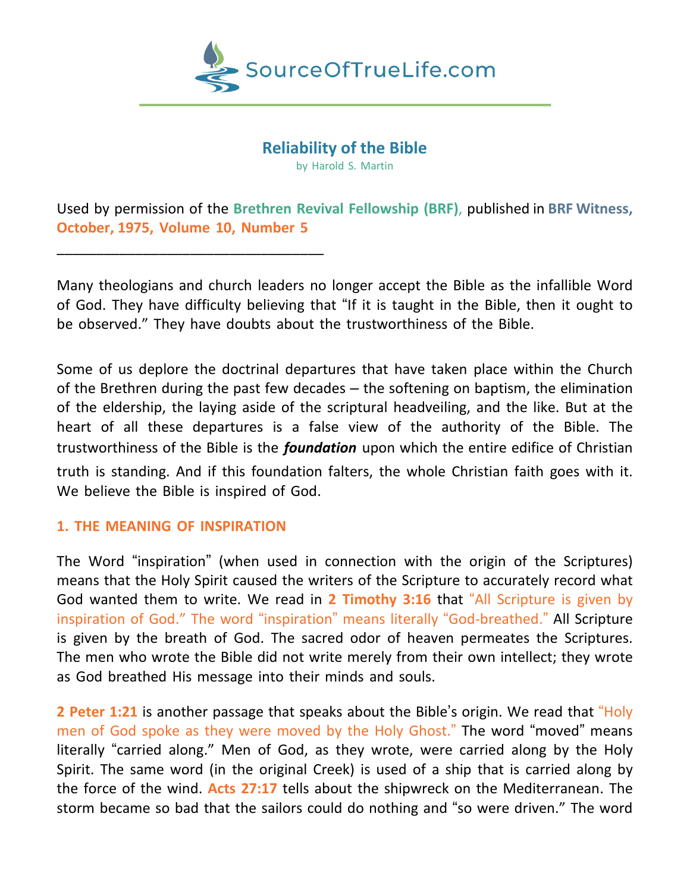

## **Reliability of the Bible**

by Harold S. Martin

Used by permission of the **Brethren Revival Fellowship (BRF)**, published in **BRF Witness, October, 1975, Volume 10, Number 5**

Many theologians and church leaders no longer accept the Bible as the infallible Word of God. They have difficulty believing that "If it is taught in the Bible, then it ought to be observed." They have doubts about the trustworthiness of the Bible.

Some of us deplore the doctrinal departures that have taken place within the Church of the Brethren during the past few decades – the softening on baptism, the elimination of the eldership, the laying aside of the scriptural headveiling, and the like. But at the heart of all these departures is a false view of the authority of the Bible. The trustworthiness of the Bible is the *foundation* upon which the entire edifice of Christian

truth is standing. And if this foundation falters, the whole Christian faith goes with it. We believe the Bible is inspired of God.

## **1. THE MEANING OF INSPIRATION**

\_\_\_\_\_\_\_\_\_\_\_\_\_\_\_\_\_\_\_\_\_\_\_\_\_\_\_\_\_\_\_\_\_\_

The Word "inspiration" (when used in connection with the origin of the Scriptures) means that the Holy Spirit caused the writers of the Scripture to accurately record what God wanted them to write. We read in **2 Timothy 3:16** that "All Scripture is given by inspiration of God." The word "inspiration" means literally "God-breathed." All Scripture is given by the breath of God. The sacred odor of heaven permeates the Scriptures. The men who wrote the Bible did not write merely from their own intellect; they wrote as God breathed His message into their minds and souls.

**2 Peter 1:21** is another passage that speaks about the Bible's origin. We read that "Holy men of God spoke as they were moved by the Holy Ghost." The word "moved" means literally "carried along." Men of God, as they wrote, were carried along by the Holy Spirit. The same word (in the original Creek) is used of a ship that is carried along by the force of the wind. **Acts 27:17** tells about the shipwreck on the Mediterranean. The storm became so bad that the sailors could do nothing and "so were driven." The word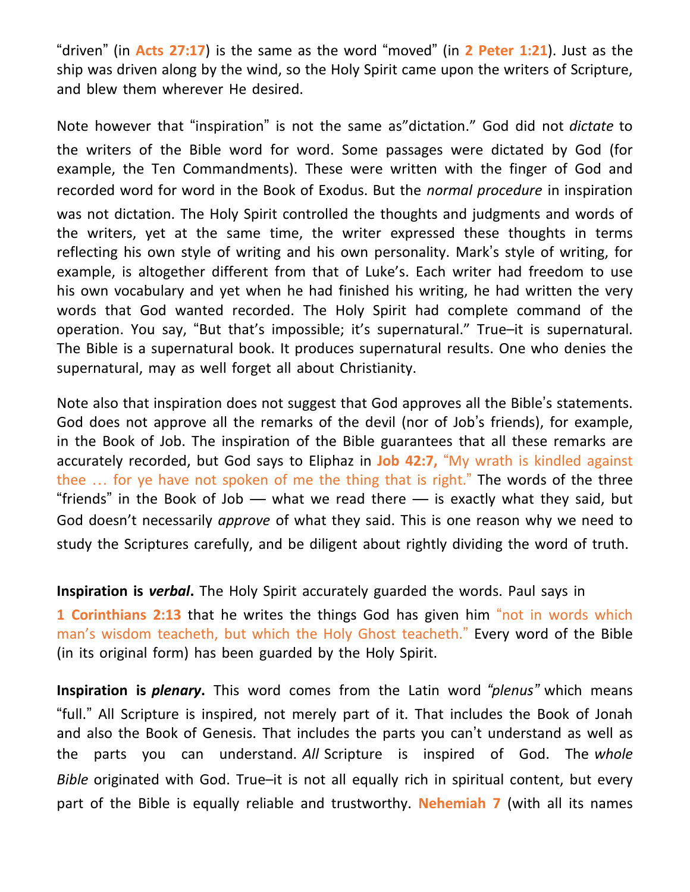"driven" (in **Acts 27:17**) is the same as the word "moved" (in **2 Peter 1:21**). Just as the ship was driven along by the wind, so the Holy Spirit came upon the writers of Scripture, and blew them wherever He desired.

Note however that "inspiration" is not the same as"dictation." God did not *dictate* to the writers of the Bible word for word. Some passages were dictated by God (for example, the Ten Commandments). These were written with the finger of God and recorded word for word in the Book of Exodus. But the *normal procedure* in inspiration was not dictation. The Holy Spirit controlled the thoughts and judgments and words of the writers, yet at the same time, the writer expressed these thoughts in terms reflecting his own style of writing and his own personality. Mark's style of writing, for example, is altogether different from that of Luke's. Each writer had freedom to use his own vocabulary and yet when he had finished his writing, he had written the very words that God wanted recorded. The Holy Spirit had complete command of the operation. You say, "But that's impossible; it's supernatural." True–it is supernatural. The Bible is a supernatural book. It produces supernatural results. One who denies the supernatural, may as well forget all about Christianity.

Note also that inspiration does not suggest that God approves all the Bible's statements. God does not approve all the remarks of the devil (nor of Job's friends), for example, in the Book of Job. The inspiration of the Bible guarantees that all these remarks are accurately recorded, but God says to Eliphaz in **Job 42:7,** "My wrath is kindled against thee … for ye have not spoken of me the thing that is right." The words of the three "friends" in the Book of Job — what we read there — is exactly what they said, but God doesn't necessarily *approve* of what they said. This is one reason why we need to study the Scriptures carefully, and be diligent about rightly dividing the word of truth.

**Inspiration is** *verbal***.** The Holy Spirit accurately guarded the words. Paul says in

**1 Corinthians 2:13** that he writes the things God has given him "not in words which man's wisdom teacheth, but which the Holy Ghost teacheth." Every word of the Bible (in its original form) has been guarded by the Holy Spirit.

**Inspiration is** *plenary***.** This word comes from the Latin word *"plenus"* which means "full." All Scripture is inspired, not merely part of it. That includes the Book of Jonah and also the Book of Genesis. That includes the parts you can't understand as well as the parts you can understand. *All* Scripture is inspired of God. The *whole Bible* originated with God. True–it is not all equally rich in spiritual content, but every part of the Bible is equally reliable and trustworthy. **Nehemiah 7** (with all its names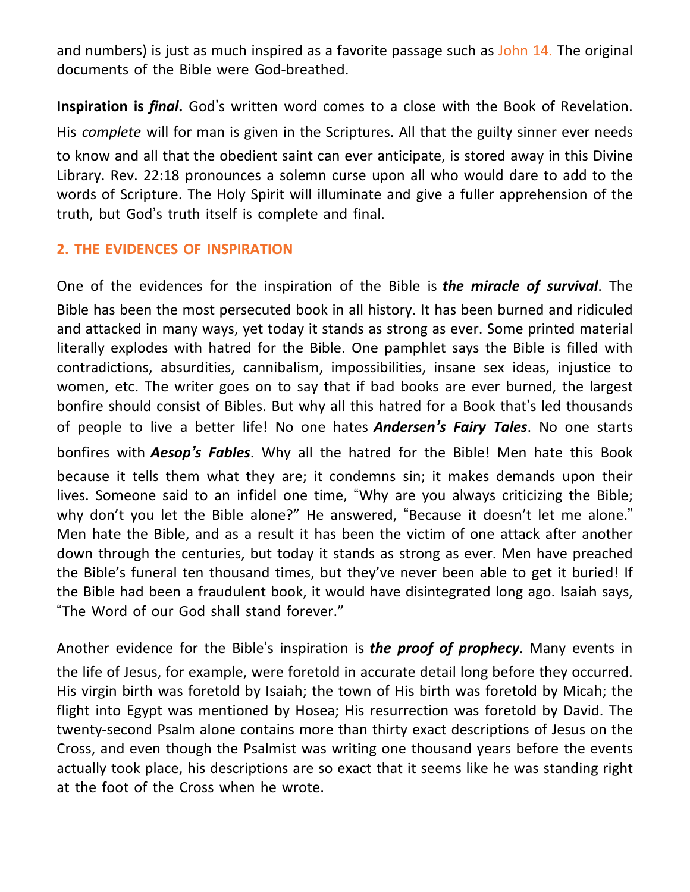and numbers) is just as much inspired as a favorite passage such as John 14. The original documents of the Bible were God-breathed.

**Inspiration is** *final***.** God's written word comes to a close with the Book of Revelation. His *complete* will for man is given in the Scriptures. All that the guilty sinner ever needs to know and all that the obedient saint can ever anticipate, is stored away in this Divine Library. Rev. 22:18 pronounces a solemn curse upon all who would dare to add to the words of Scripture. The Holy Spirit will illuminate and give a fuller apprehension of the truth, but God's truth itself is complete and final.

## **2. THE EVIDENCES OF INSPIRATION**

One of the evidences for the inspiration of the Bible is *the miracle of survival*. The Bible has been the most persecuted book in all history. It has been burned and ridiculed and attacked in many ways, yet today it stands as strong as ever. Some printed material literally explodes with hatred for the Bible. One pamphlet says the Bible is filled with contradictions, absurdities, cannibalism, impossibilities, insane sex ideas, injustice to women, etc. The writer goes on to say that if bad books are ever burned, the largest bonfire should consist of Bibles. But why all this hatred for a Book that's led thousands of people to live a better life! No one hates *Andersen's Fairy Tales*. No one starts bonfires with *Aesop's Fables*. Why all the hatred for the Bible! Men hate this Book because it tells them what they are; it condemns sin; it makes demands upon their lives. Someone said to an infidel one time, "Why are you always criticizing the Bible; why don't you let the Bible alone?" He answered, "Because it doesn't let me alone." Men hate the Bible, and as a result it has been the victim of one attack after another down through the centuries, but today it stands as strong as ever. Men have preached the Bible's funeral ten thousand times, but they've never been able to get it buried! If the Bible had been a fraudulent book, it would have disintegrated long ago. Isaiah says, "The Word of our God shall stand forever."

Another evidence for the Bible's inspiration is *the proof of prophecy*. Many events in the life of Jesus, for example, were foretold in accurate detail long before they occurred. His virgin birth was foretold by Isaiah; the town of His birth was foretold by Micah; the flight into Egypt was mentioned by Hosea; His resurrection was foretold by David. The twenty-second Psalm alone contains more than thirty exact descriptions of Jesus on the Cross, and even though the Psalmist was writing one thousand years before the events actually took place, his descriptions are so exact that it seems like he was standing right at the foot of the Cross when he wrote.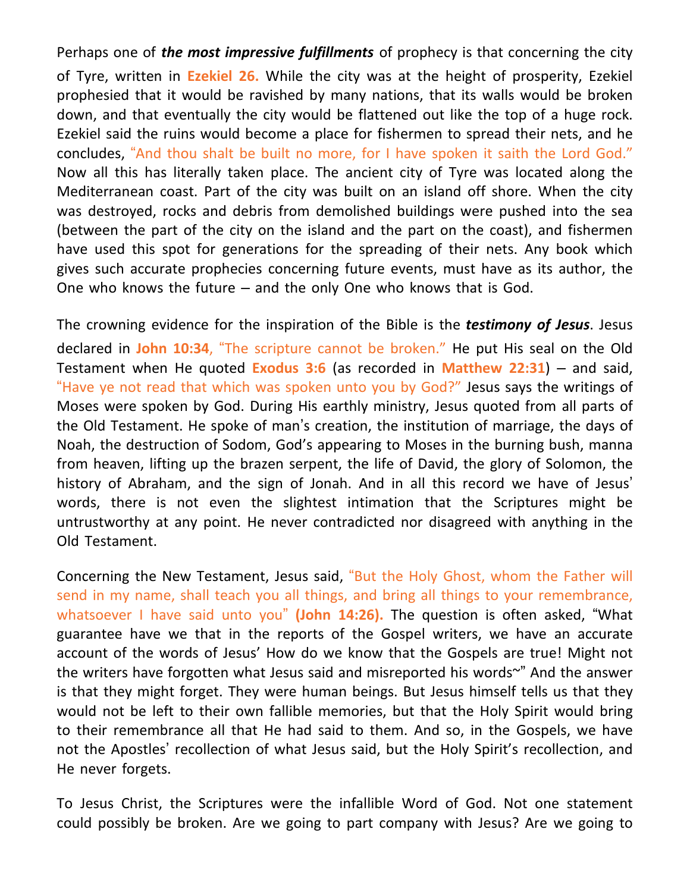Perhaps one of *the most impressive fulfillments* of prophecy is that concerning the city of Tyre, written in **Ezekiel 26.** While the city was at the height of prosperity, Ezekiel prophesied that it would be ravished by many nations, that its walls would be broken down, and that eventually the city would be flattened out like the top of a huge rock. Ezekiel said the ruins would become a place for fishermen to spread their nets, and he concludes, "And thou shalt be built no more, for I have spoken it saith the Lord God." Now all this has literally taken place. The ancient city of Tyre was located along the Mediterranean coast. Part of the city was built on an island off shore. When the city was destroyed, rocks and debris from demolished buildings were pushed into the sea (between the part of the city on the island and the part on the coast), and fishermen have used this spot for generations for the spreading of their nets. Any book which gives such accurate prophecies concerning future events, must have as its author, the One who knows the future – and the only One who knows that is God.

The crowning evidence for the inspiration of the Bible is the *testimony of Jesus*. Jesus declared in **John 10:34**, "The scripture cannot be broken." He put His seal on the Old Testament when He quoted **Exodus 3:6** (as recorded in **Matthew 22:31**) – and said, "Have ye not read that which was spoken unto you by God?" Jesus says the writings of Moses were spoken by God. During His earthly ministry, Jesus quoted from all parts of the Old Testament. He spoke of man's creation, the institution of marriage, the days of Noah, the destruction of Sodom, God's appearing to Moses in the burning bush, manna from heaven, lifting up the brazen serpent, the life of David, the glory of Solomon, the history of Abraham, and the sign of Jonah. And in all this record we have of Jesus' words, there is not even the slightest intimation that the Scriptures might be untrustworthy at any point. He never contradicted nor disagreed with anything in the Old Testament.

Concerning the New Testament, Jesus said, "But the Holy Ghost, whom the Father will send in my name, shall teach you all things, and bring all things to your remembrance, whatsoever I have said unto you" **(John 14:26).** The question is often asked, "What guarantee have we that in the reports of the Gospel writers, we have an accurate account of the words of Jesus' How do we know that the Gospels are true! Might not the writers have forgotten what Jesus said and misreported his words~" And the answer is that they might forget. They were human beings. But Jesus himself tells us that they would not be left to their own fallible memories, but that the Holy Spirit would bring to their remembrance all that He had said to them. And so, in the Gospels, we have not the Apostles' recollection of what Jesus said, but the Holy Spirit's recollection, and He never forgets.

To Jesus Christ, the Scriptures were the infallible Word of God. Not one statement could possibly be broken. Are we going to part company with Jesus? Are we going to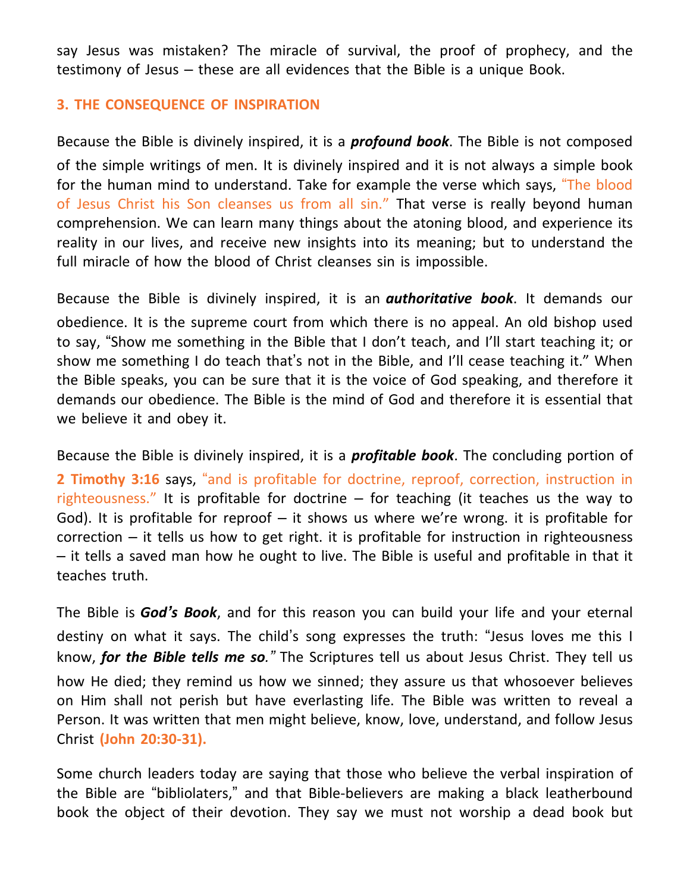say Jesus was mistaken? The miracle of survival, the proof of prophecy, and the testimony of Jesus – these are all evidences that the Bible is a unique Book.

## **3. THE CONSEQUENCE OF INSPIRATION**

Because the Bible is divinely inspired, it is a *profound book*. The Bible is not composed of the simple writings of men. It is divinely inspired and it is not always a simple book for the human mind to understand. Take for example the verse which says, "The blood of Jesus Christ his Son cleanses us from all sin." That verse is really beyond human comprehension. We can learn many things about the atoning blood, and experience its reality in our lives, and receive new insights into its meaning; but to understand the full miracle of how the blood of Christ cleanses sin is impossible.

Because the Bible is divinely inspired, it is an *authoritative book*. It demands our obedience. It is the supreme court from which there is no appeal. An old bishop used to say, "Show me something in the Bible that I don't teach, and I'll start teaching it; or show me something I do teach that's not in the Bible, and I'll cease teaching it." When the Bible speaks, you can be sure that it is the voice of God speaking, and therefore it demands our obedience. The Bible is the mind of God and therefore it is essential that we believe it and obey it.

Because the Bible is divinely inspired, it is a *profitable book*. The concluding portion of **2 Timothy 3:16** says, "and is profitable for doctrine, reproof, correction, instruction in righteousness." It is profitable for doctrine  $-$  for teaching (it teaches us the way to God). It is profitable for reproof  $-$  it shows us where we're wrong. it is profitable for  $correction - it tells us how to get right. It is profitable for instruction in righteousness$ – it tells a saved man how he ought to live. The Bible is useful and profitable in that it teaches truth.

The Bible is *God's Book*, and for this reason you can build your life and your eternal destiny on what it says. The child's song expresses the truth: "Jesus loves me this I know, *for the Bible tells me so."* The Scriptures tell us about Jesus Christ. They tell us how He died; they remind us how we sinned; they assure us that whosoever believes on Him shall not perish but have everlasting life. The Bible was written to reveal a Person. It was written that men might believe, know, love, understand, and follow Jesus Christ **(John 20:30-31).**

Some church leaders today are saying that those who believe the verbal inspiration of the Bible are "bibliolaters," and that Bible-believers are making a black leatherbound book the object of their devotion. They say we must not worship a dead book but